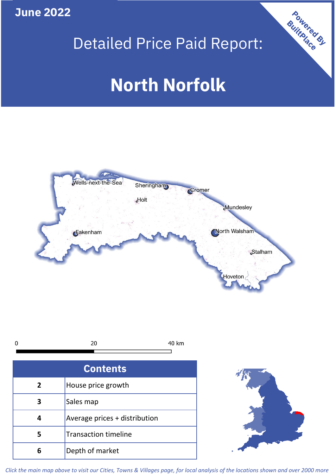**June 2022**







| <b>Contents</b> |                               |  |  |
|-----------------|-------------------------------|--|--|
| $\overline{2}$  | House price growth            |  |  |
|                 | Sales map                     |  |  |
|                 | Average prices + distribution |  |  |
| 5               | <b>Transaction timeline</b>   |  |  |
| ĥ               | Depth of market               |  |  |



*Click the main map above to visit our Cities, Towns & Villages page, for local analysis of the locations shown and over 2000 more*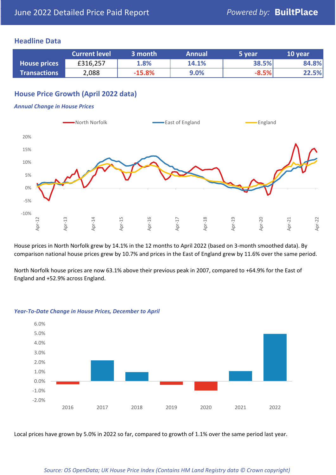### **Headline Data**

|                     | <b>Current level</b> | 3 month  | <b>Annual</b> | 5 year  | 10 year |
|---------------------|----------------------|----------|---------------|---------|---------|
| <b>House prices</b> | £316,257             | 1.8%     | 14.1%         | 38.5%   | 84.8%   |
| <b>Transactions</b> | 2,088                | $-15.8%$ | 9.0%          | $-8.5%$ | 22.5%   |

## **House Price Growth (April 2022 data)**

#### *Annual Change in House Prices*



House prices in North Norfolk grew by 14.1% in the 12 months to April 2022 (based on 3-month smoothed data). By comparison national house prices grew by 10.7% and prices in the East of England grew by 11.6% over the same period.

North Norfolk house prices are now 63.1% above their previous peak in 2007, compared to +64.9% for the East of England and +52.9% across England.



#### *Year-To-Date Change in House Prices, December to April*

Local prices have grown by 5.0% in 2022 so far, compared to growth of 1.1% over the same period last year.

#### *Source: OS OpenData; UK House Price Index (Contains HM Land Registry data © Crown copyright)*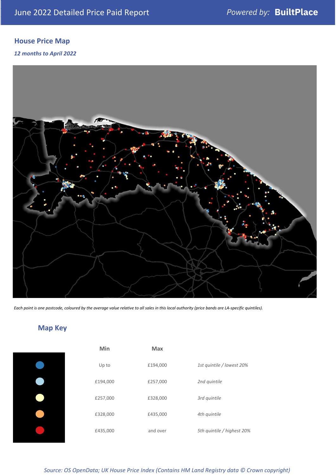## **House Price Map**

*12 months to April 2022*



*Each point is one postcode, coloured by the average value relative to all sales in this local authority (price bands are LA-specific quintiles).*

# **Map Key**

| Min      | <b>Max</b> |                            |
|----------|------------|----------------------------|
| Up to    | £194,000   | 1st quintile / lowest 20%  |
| £194,000 | £257,000   | 2nd quintile               |
| £257,000 | £328,000   | 3rd quintile               |
| £328,000 | £435,000   | 4th quintile               |
| £435,000 | and over   | 5th quintile / highest 20% |

*Source: OS OpenData; UK House Price Index (Contains HM Land Registry data © Crown copyright)*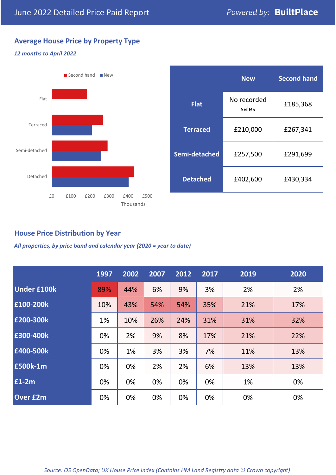## **Average House Price by Property Type**

### *12 months to April 2022*



|                 | <b>New</b>           | <b>Second hand</b> |  |  |
|-----------------|----------------------|--------------------|--|--|
| <b>Flat</b>     | No recorded<br>sales | £185,368           |  |  |
| <b>Terraced</b> | £210,000             | £267,341           |  |  |
| Semi-detached   | £257,500             | £291,699           |  |  |
| <b>Detached</b> | £402,600             | £430,334           |  |  |

### **House Price Distribution by Year**

*All properties, by price band and calendar year (2020 = year to date)*

|                    | 1997 | 2002 | 2007 | 2012 | 2017 | 2019 | 2020 |
|--------------------|------|------|------|------|------|------|------|
| <b>Under £100k</b> | 89%  | 44%  | 6%   | 9%   | 3%   | 2%   | 2%   |
| £100-200k          | 10%  | 43%  | 54%  | 54%  | 35%  | 21%  | 17%  |
| E200-300k          | 1%   | 10%  | 26%  | 24%  | 31%  | 31%  | 32%  |
| £300-400k          | 0%   | 2%   | 9%   | 8%   | 17%  | 21%  | 22%  |
| £400-500k          | 0%   | 1%   | 3%   | 3%   | 7%   | 11%  | 13%  |
| <b>£500k-1m</b>    | 0%   | 0%   | 2%   | 2%   | 6%   | 13%  | 13%  |
| £1-2m              | 0%   | 0%   | 0%   | 0%   | 0%   | 1%   | 0%   |
| <b>Over £2m</b>    | 0%   | 0%   | 0%   | 0%   | 0%   | 0%   | 0%   |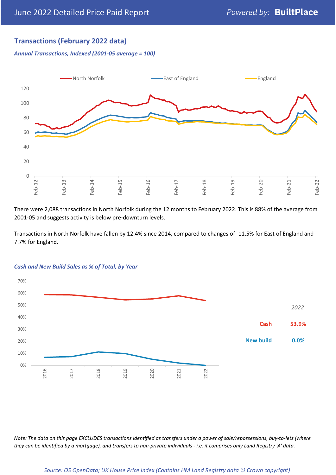## **Transactions (February 2022 data)**

*Annual Transactions, Indexed (2001-05 average = 100)*



There were 2,088 transactions in North Norfolk during the 12 months to February 2022. This is 88% of the average from 2001-05 and suggests activity is below pre-downturn levels.

Transactions in North Norfolk have fallen by 12.4% since 2014, compared to changes of -11.5% for East of England and - 7.7% for England.



#### *Cash and New Build Sales as % of Total, by Year*

*Note: The data on this page EXCLUDES transactions identified as transfers under a power of sale/repossessions, buy-to-lets (where they can be identified by a mortgage), and transfers to non-private individuals - i.e. it comprises only Land Registry 'A' data.*